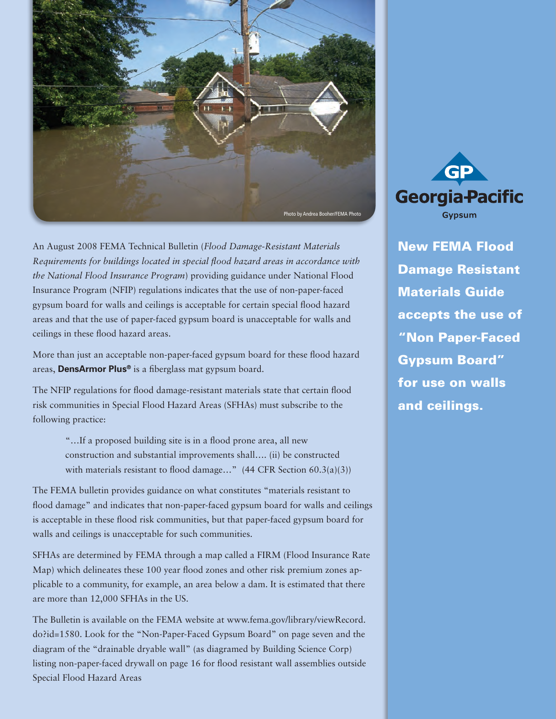

An August 2008 FEMA Technical Bulletin (*Flood Damage-Resistant Materials Requirements for buildings located in special flood hazard areas in accordance with the National Flood Insurance Program*) providing guidance under National Flood Insurance Program (NFIP) regulations indicates that the use of non-paper-faced gypsum board for walls and ceilings is acceptable for certain special flood hazard areas and that the use of paper-faced gypsum board is unacceptable for walls and ceilings in these flood hazard areas.

More than just an acceptable non-paper-faced gypsum board for these flood hazard areas, **DensArmor Plus®** is a fiberglass mat gypsum board.

The NFIP regulations for flood damage-resistant materials state that certain flood risk communities in Special Flood Hazard Areas (SFHAs) must subscribe to the following practice:

> "…If a proposed building site is in a flood prone area, all new construction and substantial improvements shall…. (ii) be constructed with materials resistant to flood damage..." (44 CFR Section 60.3(a)(3))

The FEMA bulletin provides guidance on what constitutes "materials resistant to flood damage" and indicates that non-paper-faced gypsum board for walls and ceilings is acceptable in these flood risk communities, but that paper-faced gypsum board for walls and ceilings is unacceptable for such communities.

SFHAs are determined by FEMA through a map called a FIRM (Flood Insurance Rate Map) which delineates these 100 year flood zones and other risk premium zones applicable to a community, for example, an area below a dam. It is estimated that there are more than 12,000 SFHAs in the US.

The Bulletin is available on the FEMA website at www.fema.gov/library/viewRecord. do?id=1580. Look for the "Non-Paper-Faced Gypsum Board" on page seven and the diagram of the "drainable dryable wall" (as diagramed by Building Science Corp) listing non-paper-faced drywall on page 16 for flood resistant wall assemblies outside Special Flood Hazard Areas



New FEMA Flood Damage Resistant Materials Guide accepts the use of "Non Paper-Faced Gypsum Board" for use on walls and ceilings.